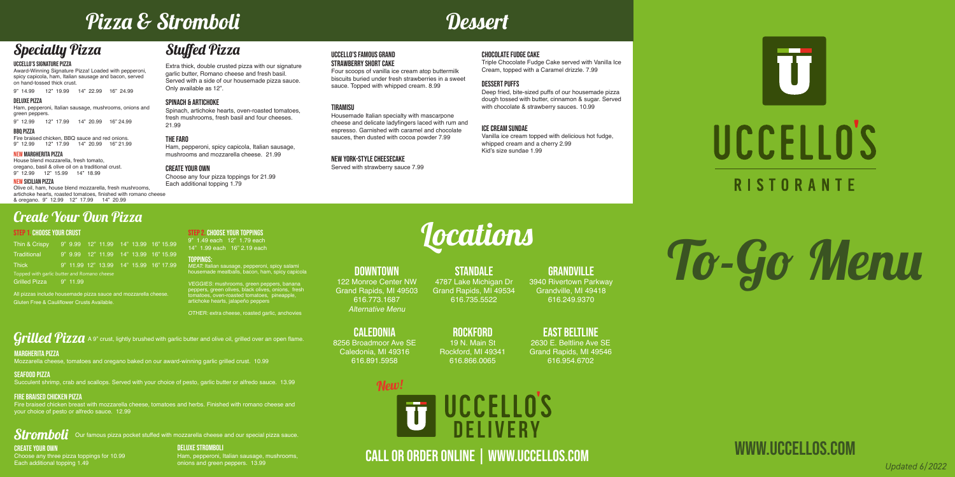# To-Go Menu

www.uccellos.com

#### UCCELLO'S SIGNATURE PIZZA

Award-Winning Signature Pizza! Loaded with pepperoni, spicy capicola, ham, Italian sausage and bacon, served on hand-tossed thick crust.

9" 14.99 12" 19.99 14" 22.99 16" 24.99

## Stuffed Pizza

Extra thick, double crusted pizza with our signature garlic butter, Romano cheese and fresh basil. Served with a side of our housemade pizza sauce. Only available as 12".

#### SPINACH & ARTICHOKE

Spinach, artichoke hearts, oven-roasted tomatoes, fresh mushrooms, fresh basil and four cheeses. 21.99

#### THE FARO

Ham, pepperoni, spicy capicola, Italian sausage, mushrooms and mozzarella cheese. 21.99

#### CREATE YOUR OWN

Choose any four pizza toppings for 21.99 Each additional topping 1.79

## Pizza & Stromboli Dessert

## Specialty Pizza

## $\it Stromboli$  Our famous pizza pocket stuffed with mozzarella cheese and our special pizza sauce. CREATE YOUR OWN

#### STEP 1. CHOOSE YOUR CRUST

| Thin & Crispy                               |  |  |  |  |  |  | 9" 9.99 12" 11.99 14" 13.99 16" 15.99  |
|---------------------------------------------|--|--|--|--|--|--|----------------------------------------|
| Traditional                                 |  |  |  |  |  |  | 9" 9.99 12" 11.99 14" 13.99 16" 15.99  |
| <b>Thick</b>                                |  |  |  |  |  |  | 9" 11.99 12" 13.99 14" 15.99 16" 17.99 |
| Topped with garlic butter and Romano cheese |  |  |  |  |  |  |                                        |
| Grilled Pizza 9" 11.99                      |  |  |  |  |  |  |                                        |

All pizzas include housemade pizza sauce and mozzarella cheese. Gluten Free & Cauliflower Crusts Available.

STEP 2. CHOOSE YOUR TOPPINGS 9" 1.49 each 12" 1.79 each 14" 1.99 each 16" 2.19 each

Toppings: MEAT: Italian sausage, pepperoni, spicy salami housemade meatballs, bacon, ham, spicy capicola

VEGGIES: mushrooms, green peppers, banana peppers, green olives, black olives, onions, fresh tomatoes, oven-roasted tomatoes, pineapple, artichoke hearts, jalapeño peppers

OTHER: extra cheese, roasted garlic, anchovies

 $Grilled~\!Pizza$  A 9" crust, lightly brushed with garlic butter and olive oil, grilled over an open flame.

## Create Your Own Pizza

Choose any three pizza toppings for 10.99 Each additional topping 1.49

DELUXE STROMBOLI

#### **STANDALE** 4787 Lake Michigan Dr Grand Rapids, MI 49534 616.735.5522

Ham, pepperoni, Italian sausage, mushrooms,

## **GRANDVILLE** 3940 Rivertown Parkway

onions and green peppers. 13.99

### MARGHERITA PIZZA

Mozzarella cheese, tomatoes and oregano baked on our award-winning garlic grilled crust. 10.99

#### SEAFOOD PIZZA

Succulent shrimp, crab and scallops. Served with your choice of pesto, garlic butter or alfredo sauce. 13.99

#### fire braised chicken PIZZA

## New!UCCELLO'S **DELIVERY**

Fire braised chicken breast with mozzarella cheese, tomatoes and herbs. Finished with romano cheese and your choice of pesto or alfredo sauce. 12.99



#### Uccello's famous grand STRAWBErry Short CAKE

Four scoops of vanilla ice cream atop buttermilk biscuits buried under fresh strawberries in a sweet sauce. Topped with whipped cream. 8.99

#### **TIRAMISII**

Housemade Italian specialty with mascarpone cheese and delicate ladyfingers laced with rum and espresso. Garnished with caramel and chocolate sauces, then dusted with cocoa powder 7.99

#### New york-style cheesecake

Served with strawberry sauce 7.99

#### chocolate fudge cake

Triple Chocolate Fudge Cake served with Vanilla Ice Cream, topped with a Caramel drizzle. 7.99

#### DEssert puffs

Deep fried, bite-sized puffs of our housemade pizza dough tossed with butter, cinnamon & sugar. Served with chocolate & strawberry sauces. 10.99

#### ice cream sundae

Vanilla ice cream topped with delicious hot fudge, whipped cream and a cherry 2.99 Kid's size sundae 1.99

# **Locations**

Call or order online | www.uccellos.com *Updated 6/2022*

#### DOWNTOWN

122 Monroe Center NW Grand Rapids, MI 49503 616.773.1687 Alternative Menu

Grandville, MI 49418 616.249.9370

caledonia



8256 Broadmoor Ave SE Caledonia, MI 49316 616.891.5958

Rockford 19 N. Main St Rockford, MI 49341

616.866.0065

## EAST BELTLINE

2630 E. Beltline Ave SE Grand Rapids, MI 49546 616.954.6702

#### DELUXE PIZZA

Ham, pepperoni, Italian sausage, mushrooms, onions and green peppers.

9" 12.99 12" 17.99 14" 20.99 16" 24.99

#### BBQ PIZZA

Fire braised chicken, BBQ sauce and red onions. 9" 12.99 12" 17.99 14" 20.99 16" 21.99

#### NEW MARGHERITA PIZZA

House blend mozzarella, fresh tomato, oregano, basil & olive oil on a traditional crust. 9" 12.99 12" 15.99 14" 18.99

#### NEW SICILIAN PIZZA

Olive oil, ham, house blend mozzarella, fresh mushrooms, artichoke hearts, roasted tomatoes, finished with romano cheese & oregano. 9" 12.99 12" 17.99 14" 20.99